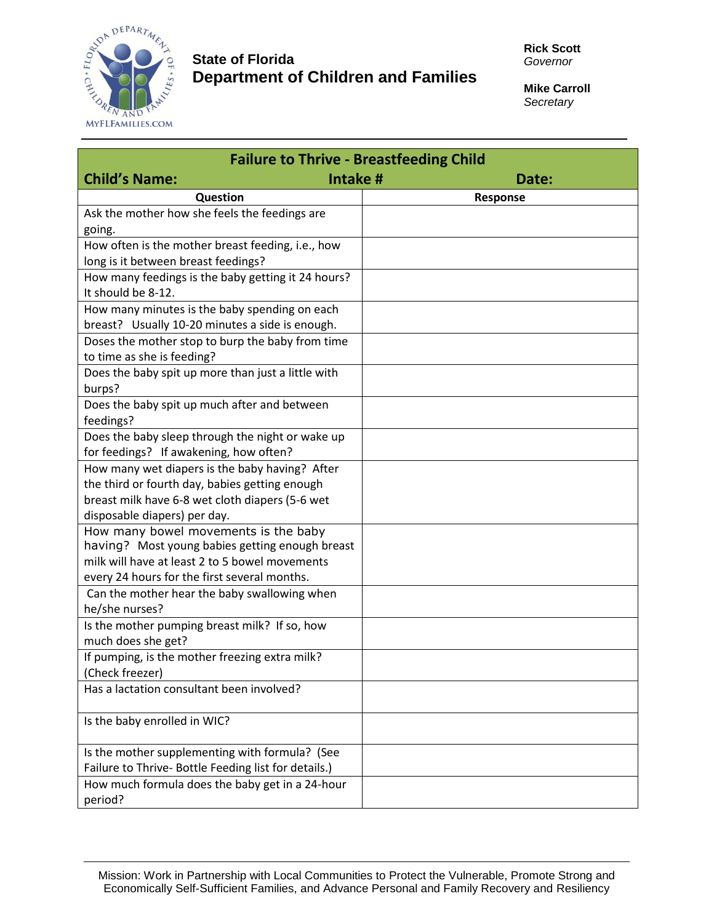

## **State of Florida Department of Children and Families**

**Mike Carroll** *Secretary*

| <b>Failure to Thrive - Breastfeeding Child</b>                    |          |
|-------------------------------------------------------------------|----------|
| <b>Child's Name:</b><br>Intake #                                  | Date:    |
| Question                                                          | Response |
| Ask the mother how she feels the feedings are                     |          |
| going.                                                            |          |
| How often is the mother breast feeding, i.e., how                 |          |
| long is it between breast feedings?                               |          |
| How many feedings is the baby getting it 24 hours?                |          |
| It should be 8-12.                                                |          |
| How many minutes is the baby spending on each                     |          |
| breast? Usually 10-20 minutes a side is enough.                   |          |
| Doses the mother stop to burp the baby from time                  |          |
| to time as she is feeding?                                        |          |
| Does the baby spit up more than just a little with                |          |
| burps?                                                            |          |
| Does the baby spit up much after and between                      |          |
| feedings?                                                         |          |
| Does the baby sleep through the night or wake up                  |          |
| for feedings? If awakening, how often?                            |          |
| How many wet diapers is the baby having? After                    |          |
| the third or fourth day, babies getting enough                    |          |
| breast milk have 6-8 wet cloth diapers (5-6 wet                   |          |
| disposable diapers) per day.                                      |          |
| How many bowel movements is the baby                              |          |
| having? Most young babies getting enough breast                   |          |
| milk will have at least 2 to 5 bowel movements                    |          |
| every 24 hours for the first several months.                      |          |
| Can the mother hear the baby swallowing when                      |          |
| he/she nurses?                                                    |          |
| Is the mother pumping breast milk? If so, how                     |          |
| much does she get?                                                |          |
| If pumping, is the mother freezing extra milk?<br>(Check freezer) |          |
| Has a lactation consultant been involved?                         |          |
|                                                                   |          |
| Is the baby enrolled in WIC?                                      |          |
|                                                                   |          |
| Is the mother supplementing with formula? (See                    |          |
| Failure to Thrive- Bottle Feeding list for details.)              |          |
| How much formula does the baby get in a 24-hour                   |          |
| period?                                                           |          |